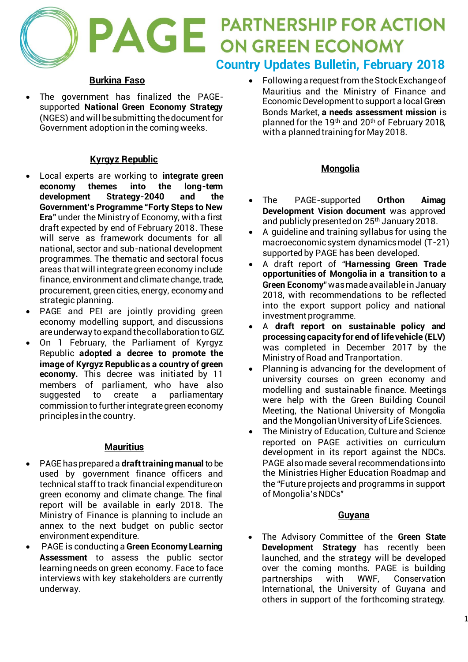# **PAGE PARTNERSHIP FOR ACTION Country Updates Bulletin, February 2018**

## **Burkina Faso**

• The government has finalized the PAGEsupported **National Green Economy Strategy** (NGES) and will be submitting the document for Government adoption in the coming weeks.

## **Kyrgyz Republic**

- Local experts are working to **integrate green economy themes into the long-term development Strategy-2040 and the Government's Programme "Forty Steps to New Era"** under the Ministry of Economy, with a first draft expected by end of February 2018. These will serve as framework documents for all national, sector and sub-national development programmes. The thematic and sectoral focus areas that will integrate green economy include finance, environment and climate change, trade, procurement, green cities, energy, economy and strategic planning.
- PAGE and PEI are jointly providing green economy modelling support, and discussions are underway to expand the collaboration to GIZ.
- On 1 February, the Parliament of Kyrgyz Republic **adopted a decree to promote the image of Kyrgyz Republic as a country of green economy.** This decree was initiated by 11 members of parliament, who have also suggested to create a parliamentary commission to further integrate green economy principles in the country.

#### **Mauritius**

- PAGE has prepared a **draft training manual** to be used by government finance officers and technical staff to track financial expenditure on green economy and climate change. The final report will be available in early 2018. The Ministry of Finance is planning to include an annex to the next budget on public sector environment expenditure.
- PAGE is conducting a **Green Economy Learning Assessment** to assess the public sector learning needs on green economy. Face to face interviews with key stakeholders are currently underway.

• Following a request from the Stock Exchange of Mauritius and the Ministry of Finance and Economic Development to support a local Green Bonds Market, **a needs assessment mission** is planned for the 19th and 20th of February 2018, with a planned training for May 2018.

## **Mongolia**

- The PAGE-supported **Orthon Aimag Development Vision document** was approved and publicly presented on 25th January 2018.
- A guideline and training syllabus for using the macroeconomic system dynamics model (T-21) supported by PAGE has been developed.
- A draft report of "**Harnessing Green Trade opportunities of Mongolia in a transition to a Green Economy**" was made available in January 2018, with recommendations to be reflected into the export support policy and national investment programme.
- A **draft report on sustainable policy and processing capacity for end of life vehicle (ELV)** was completed in December 2017 by the Ministry of Road and Tranportation.
- Planning is advancing for the development of university courses on green economy and modelling and sustainable finance. Meetings were help with the Green Building Council Meeting, the National University of Mongolia and the Mongolian University of Life Sciences.
- The Ministry of Education, Culture and Science reported on PAGE activities on curriculum development in its report against the NDCs. PAGE also made several recommendations into the Ministries Higher Education Roadmap and the "Future projects and programms in support of Mongolia's NDCs"

#### **Guyana**

• The Advisory Committee of the **Green State Development Strategy** has recently been launched, and the strategy will be developed over the coming months. PAGE is building partnerships with WWF, Conservation International, the University of Guyana and others in support of the forthcoming strategy.